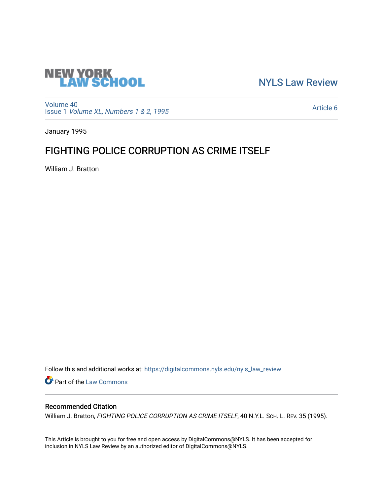

[NYLS Law Review](https://digitalcommons.nyls.edu/nyls_law_review) 

[Volume 40](https://digitalcommons.nyls.edu/nyls_law_review/vol40) Issue 1 [Volume XL, Numbers 1 & 2, 1995](https://digitalcommons.nyls.edu/nyls_law_review/vol40/iss1)

[Article 6](https://digitalcommons.nyls.edu/nyls_law_review/vol40/iss1/6) 

January 1995

# FIGHTING POLICE CORRUPTION AS CRIME ITSELF

William J. Bratton

Follow this and additional works at: [https://digitalcommons.nyls.edu/nyls\\_law\\_review](https://digitalcommons.nyls.edu/nyls_law_review?utm_source=digitalcommons.nyls.edu%2Fnyls_law_review%2Fvol40%2Fiss1%2F6&utm_medium=PDF&utm_campaign=PDFCoverPages) 

Part of the [Law Commons](https://network.bepress.com/hgg/discipline/578?utm_source=digitalcommons.nyls.edu%2Fnyls_law_review%2Fvol40%2Fiss1%2F6&utm_medium=PDF&utm_campaign=PDFCoverPages)

# Recommended Citation

William J. Bratton, FIGHTING POLICE CORRUPTION AS CRIME ITSELF, 40 N.Y.L. SCH. L. REV. 35 (1995).

This Article is brought to you for free and open access by DigitalCommons@NYLS. It has been accepted for inclusion in NYLS Law Review by an authorized editor of DigitalCommons@NYLS.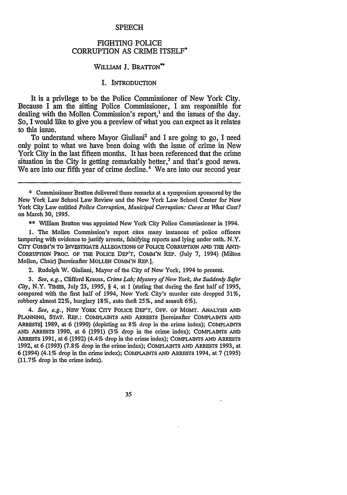#### **SPEECH**

## FIGHTING **POLICE** CORRUPTION AS CRIME ITSELF\*

#### WILLIAM **J.** BRATTON\*\*

## I. INTRODUCTION

It is a privilege to be the Police Commissioner of New York City. Because I am the sitting Police Commissioner, I am responsible for dealing with the Mollen Commission's report,' and the issues of the day. So, I would like to give you a preview of what you can expect as it relates to this issue.

To understand where Mayor Giuliani<sup>2</sup> and I are going to go, I need only point to what we have been doing with the issue of crime in New York City in the last fifteen months. It has been referenced that the crime situation in the City is getting remarkably better,<sup>3</sup> and that's good news. We are into our fifth year of crime decline.<sup>4</sup> We are into our second year

\*\* William Bratton was appointed New York City Police Commissioner in 1994.

1. The Mollen Commission's report cites many instances of police officers tampering with evidence to justify arrests, falsifying reports and lying under oath. N.Y. CITY **COMM111'N** TO INVESTIGATE ALLEGATIONS OF POLICE CORRUPTION AND THE ANTI-CORRUPTION PROC. OF THE POLICE DEP'T, COMM'N REP. (July 7, 1994) (Milton Mollen, Chair) [hereinafter MOLLEN COMM'N REP.].

2. Rudolph W. Giuliani, Mayor of the City of New York, 1994 to present.

*3. See, e.g.,* Clifford Krauss, *Crime Lab; Mystery of New York, the Suddenly Safer City*, N.Y. TIMES, July 23, 1995, § 4, at 1 (stating that during the first half of 1995, compared with the first half of 1994, New York City's murder rate dropped 31%, robbery almost 22%, burglary 18%, auto theft 25%, and assault 6%).

*4. See, e.g.,* NEv YORK CITY POLICE DEP'T, OFF. OF MGmT. ANALYSIS AND PLANNING, STAT. REP.: COMPLAINTS AND ARRESTS [hereinafter COMPLAINTS AND ARRESTs] 1989, at 6 (1990) (depicting an 8% drop in the crime index); COMPLAINTS AND ARRESTS 1990, at 6 (1991) (3% drop in the crime index); COMPLAINTS AND ARRESTS 1991, at 6 (1992) (4.4% drop in the crime index); COMPLAINTS AND ARRESTS 1992, at 6 (1993) (7.8% drop in the crime index); COMPLAINTS AND ARRESTS 1993, at 6 (1994) (4.1% drop in the crime index); COMPLAINTS AND ARRESTS 1994, at 7 (1995) (11.7% drop in the crime index).

35

<sup>\*</sup> Commissioner Bratton delivered these remarks at a symposium sponsored by the New York Law School Law Review and the New York Law School Center for New York City Law entitled *Police Corruption, Municipal Corruption: Cures at What Cost?* on March 30, 1995.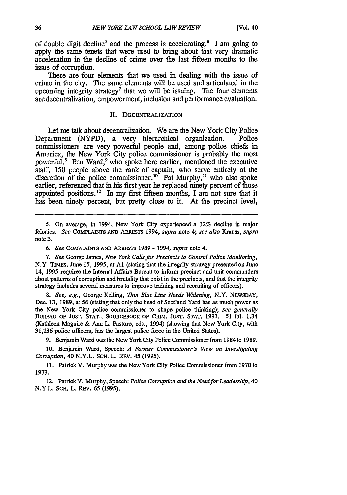of double digit decline<sup>5</sup> and the process is accelerating.<sup>6</sup> I am going to apply the same tenets that were used to bring about that very dramatic acceleration in the decline of crime over the last fifteen months to the issue of corruption.

There are four elements that we used in dealing with the issue of crime in the city. The same elements will be used and articulated in the upcoming integrity strategy<sup>7</sup> that we will be issuing. The four elements are decentralization, empowerment, inclusion and performance evaluation.

#### **II. DECENTRALIZATION**

Let me talk about decentralization. We are the New York City Police Department (NYPD), a very hierarchical organization. Police commissioners are very powerful people and, among police chiefs in America, the New York City police commissioner is probably the most powerful.<sup>8</sup> Ben Ward,<sup>9</sup> who spoke here earlier, mentioned the executive staff, 150 people above the rank of captain, who serve entirely at the discretion of the police commissioner.<sup>10</sup> Pat Murphy,<sup>11</sup> who also spoke earlier, referenced that in his first year he replaced ninety percent of those appointed positions.<sup>12</sup> In my first fifteen months, I am not sure that it has been ninety percent, but pretty close to it. At the precinct level,

**5.** On average, in 1994, New York City experienced a 12% decline in major felonies. *See* **COMYLAINTS AND** ARRESTS 1994, *supra* note 4; *see also* Krauss, *supra* note **3.**

7. *See* George James, *New York Calls for Precincts to Control Police Monitoring,* N.Y. TIMEs, June *15, 1995,* at **Al** (stating that the integrity strategy presented on June 14, 1995 requires the Internal Affairs Bureau to inform precinct and unit commanders about patterns of corruption and brutality that exist in the precincts, and that the integrity strategy includes several measures to improve training and recruiting of officers).

*8. See, e.g.,* George Kelling, *Thin Blue Line Needs Widening,* N.Y. NEWSDAY, Dec. 13, 1989, at **56** (stating that only the head of Scotland Yard has as much power as the New York City police commissioner to shape police thinking); *see generally* BuREAu OF **JUST. STAT.,** SOURCEBOOK **OF** CRIM. **JUST. STAT.** 1993, 51 tbl. 1.34 (Kathleen Maguire & *Ann* L. Pastore, eds., 1994) (showing that New York City, with 31,236 police officers, has the largest police force in the United States).

9. Benjamin Ward was the New York City Police Commissioner from 1984 to 1989.

10. Benjamin Ward, Speech: *A Former Commissioner's View on Investigating Corruption,* 40 N.Y.L. SCH. L. REV. 45 (1995).

11. Patrick V. Murphy was the New York City Police Commissioner from 1970 to 1973.

12. Patrick V. Murphy, Speech: *Police Corruption and the Needfor Leadership,* 40 N.Y.L. ScH. L. REv. 65 **(1995).**

*<sup>6.</sup> See* COMPLAINTS **AND** ARRESTS 1989 **-** 1994, *supra* note 4.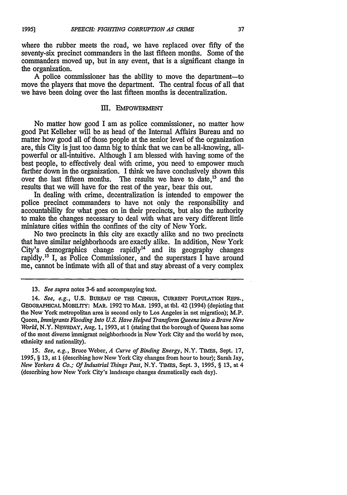**1995]**

where the rubber meets the road, we have replaced over fifty of the seventy-six precinct commanders in the last fifteen months. Some of the commanders moved up, but in any event, that is a significant change in the organization.

A police commissioner has the ability to move the department-to move the players that move the department. The central focus of all that we have been doing over the last fifteen months is decentralization.

#### m. **EMPOWERMENT**

No matter how good I am as police commissioner, no matter how good Pat Kelleher will be as head of the Internal Affairs Bureau and no matter how good all of those people at the senior level of the organization are, this City is just too damn big to think that we can be all-knowing, allpowerful or all-intuitive. Although I am blessed with having some of the best people, to effectively deal with crime, you need to empower much farther down in the organization. I think we have conclusively shown this over the last fifteen months. The results we have to date,<sup>13</sup> and the results that we will have for the rest of the year, bear this out.

In dealing with crime, decentralization is intended to empower the police precinct commanders to have not only the responsibility and accountability for what goes on in their precincts, but also the authority to make the changes necessary to deal with what are very different little miniature cities within the confines of the city of New York.

No two precincts in this city are exactly alike and no two precincts that have similar neighborhoods are exactly alike. In addition, New York City's demographics change rapidly<sup>14</sup> and its geography changes rapidly.15 I, as Police Commissioner, and the superstars I have around me, cannot be intimate with all of that and stay abreast of a very complex

*15. See, e.g.,* Bruce Weber, *A Curve of Binding Energy,* N.Y. **TIMES,** Sept. 17, **1995,** § **13,** at **I** (describing how New York City changes from hour to hour); Sarah Jay, *New Yorkers & Co.; Of Industrial Things Past,* N.Y. TIMEs, Sept. **3,** 1995, § 13, at 4 (describing how New York City's landscape changes dramatically each day).

<sup>13.</sup> *See supra* notes 3-6 and accompanying text.

<sup>14.</sup> *See, e.g.,* **U.S.** BUREAU **OF THE CENSUS, CURRENT** POPULATION REPS., **GEOGRAPHICAL** MOBILITY: MAR. **1992** TO MAR. **1993,** at tbl. 42 (1994) (depicting that the New York metropolitan area is second only to Los Angeles in net migration); M.P. Queen, *Immigrants Flooding Into U.S. Have Helped Transform Queens into a Brave New World, N.Y. NEWSDAY, Aug. 1, 1993, at 1 (stating that the borough of Queens has some* of the most diverse immigrant neighborhoods in New York City and the world by race, ethnicity and nationality).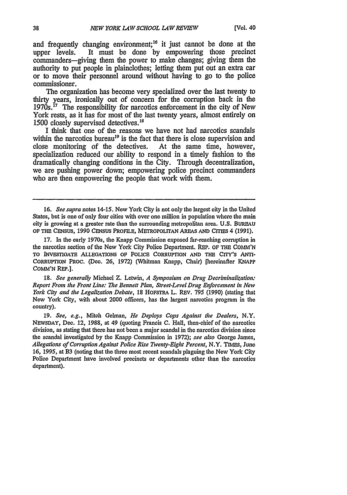and frequently changing environment;<sup>16</sup> it just cannot be done at the upper levels. It must be done by empowering those precinct It must be done by empowering those precinct commanders-giving them the power to make changes; giving them the authority to put people in plainclothes; letting them put out an extra car or to move their personnel around without having to go to the police commissioner.

The organization has become very specialized over the last twenty to thirty years, ironically out of concern for the corruption back in the 1970s.<sup>17</sup> The responsibility for narcotics enforcement in the city of New York rests, as it has for most of the last twenty years, almost entirely on 1500 closely supervised detectives.<sup>18</sup>

I think that one of the reasons we have not had narcotics scandals within the narcotics bureau<sup>19</sup> is the fact that there is close supervision and close monitoring of the detectives. At the same time, however, close monitoring of the detectives. specialization reduced our ability to respond in a timely fashion to the dramatically changing conditions in the City. Through decentralization, we are pushing power down; empowering police precinct commanders who are then empowering the people that work with them.

**16.** *See supra* notes 14-15. New York City is not only the largest city in the United States, but is one of only four cities with over one million in population where the main city is growing at a greater rate than the surrounding metropolitan area. U.S. BUREAU OF THE CENSUS, 1990 CENSUS PROFILE, METROPOLITAN AREAS **AND CrrIES** 4 (1991).

17. In the early 1970s, the Knapp Commission exposed far-reaching corruption in the narcotics section of the New York City Police Department. REP. OF THE *COM,'IN* TO INvESTIGATE ALLEGATIONS OF POLICE CORRUPTION **AND THE** CITY'S ANTI-CORRUPTION PRoc. (Dec. 26, 1972) (Whitman Knapp, Chair) [hereinafter KNAPP **CoMM'N** REP.].

**18.** See generally Michael **Z.** Letwin, *A Symposium* on Drug Decriminalization: *Report From* the Front Line: The Bennett Plan, Street-Level Drug Enforcement in New York City *and the* Legalization Debate, **18** HOFSTRA L. REV. 795 (1990) (stating that New York City, with about 2000 officers, has the largest narcotics program in the country).

19. *See, e.g.,* Mitch Gelman, *He Deploys Cops* Against the Dealers, N.Y. NEWSDAY, Dec. 12, 1988, at 49 (quoting Francis C. Hall, then-chief of the narcotics division, as stating that there has not been a major scandal in the narcotics division since the scandal investigated by the Knapp Commission in 1972); *see also* George James, Allegations of Corruption Against Police Rise Twenty-Eight Percent, N.Y. TIMES, June *16,* 1995, at B3 (noting that the three most recent scandals plaguing the New York City Police Department have involved precincts or departments other than the narcotics department).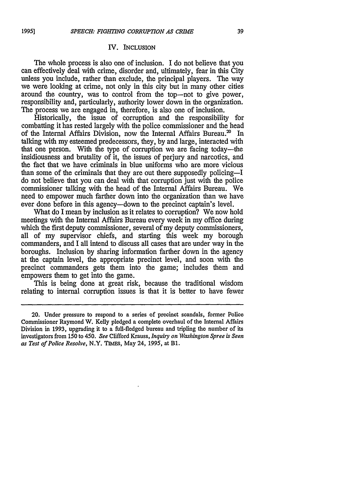#### IV. **INCLUSION**

The whole process is also one of inclusion. I do not believe that you can effectively deal with crime, disorder and, ultimately, fear in this City unless you include, rather than exclude, the principal players. The way we were looking at crime, not only in this city but in many other cities around the country, was to control from the top-not to give power, responsibility and, particularly, authority lower down in the organization. The process we are engaged in, therefore, is also one of inclusion.

Historically, the issue of corruption and the responsibility for combatting it has rested largely with the police commissioner and the head of the Internal Affairs Division, now the Internal Affairs Bureau.<sup>20</sup> In talking with my esteemed predecessors, they, by and large, interacted with that one person. With the type of corruption we are facing today-the insidiousness and brutality of it, the issues of perjury and narcotics, and the fact that we have criminals in blue uniforms who are more vicious than some of the criminals that they are out there supposedly policing-I do not believe that you can deal with that corruption just with the police commissioner talking with the head of the Internal Affairs Bureau. We need to empower much farther down into the organization than we have ever done before in this agency-down to the precinct captain's level.

What do I mean by inclusion as it relates to corruption? We now hold meetings with the Internal Affairs Bureau every week in my office during which the first deputy commissioner, several of my deputy commissioners, all of my supervisor chiefs, and starting this week my borough commanders, and I all intend to discuss all cases that are under way in the boroughs. Inclusion by sharing information farther down in the agency at the captain level, the appropriate precinct level, and soon with the precinct commanders gets them into the game; includes them and empowers them to get into the game.

This is being done at great risk, because the traditional wisdom relating to internal corruption issues is that it is better to have fewer

<sup>20.</sup> Under pressure to respond to a series of precinct scandals, former Police Commissioner Raymond W. Kelly pledged a complete overhaul of the Internal Affairs Division in **1993,** upgrading it to a full-fledged bureau and tripling the number of its investigators from **150** to 450. *See* Clifford Krauss, *Inquiry on Washington Spree is Seen as Test of Police Resolve,* N.Y. **TIMES,** May 24, **1995,** at **B1.**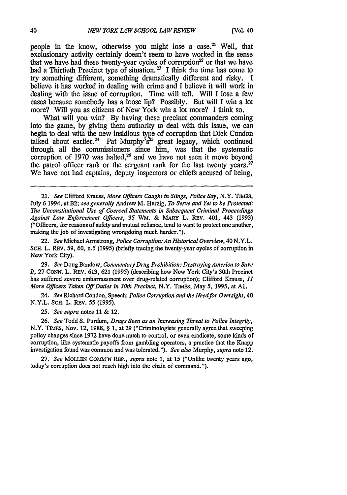people in the know, otherwise you might lose a case.<sup>21</sup> Well, that exclusionary activity certainly doesn't seem to have worked in the sense that we have had these twenty-year cycles of corruption<sup>22</sup> or that we have had a Thirtieth Precinct type of situation.<sup>23</sup> I think the time has come to try something different, something dramatically different and risky. I believe it has worked in dealing with crime and I believe it will work in dealing with the issue of corruption. Time will tell. Will I lose a few cases because somebody has a loose lip? Possibly. But will I win a lot more? Will you as citizens of New York win a lot more? I think so.

What will you win? By having these precinct commanders coming into the game, by giving them authority to deal with this issue, we can begin to deal with the new insidious type of corruption that Dick Condon talked about earlier.<sup>24</sup> Pat Murphy's<sup>25</sup> great legacy, which continued through all the commissioners since him, was that the systematic corruption of 1970 was halted,<sup>26</sup> and we have not seen it move beyond the patrol officer rank or the sergeant rank for the last twenty years.<sup>27</sup> We have not had captains, deputy inspectors or chiefs accused of being,

22. *See* Michael Armstrong, *Police Corruption:An Historical Overview,* 40 N.Y.L. SCH. L. REV. *59,* **60,** *n.5* **(1995)** (briefly tracing the twenty-year cycles of corruption in New York City).

**23.** *See* Doug Bandow, *Commentary Drug Prohibition: Destroying America to Save It,* **27** CONN. L. REv. **613, 621 (1995)** (describing how New York City's **30th** Precinct has suffered severe embarrassment over drug-related corruption); Clifford Krauss, *11 More Officers Taken Off Duties in 30th Precinct,* N.Y. TIMES, May *5,* 1995, at **Al.**

24. *See* Richard Condon, Speech: *Police Corruption and the Needfor Oversight,* 40 N.Y.L. SCH. L. REv. *55 (1995).*

*25. See supra* notes 11 **&** 12.

26. *See* Todd S. Purdum, *Drugs Seen as an Increasing Threat to Police Integrity,* N.Y. TIMES, Nov. 12, 1988, § 1, at 29 ("Criminologists generally agree that sweeping policy changes since 1972 have done much to control, or even eradicate, some kinds of corruption, like systematic payoffs from gambling operators, a practice that the Knapp investigation found was common and was tolerated."). *See also* Murphy, *supra* note 12.

**27.** *See* MOLLEN COMM'N REP., *supra* note 1, at 15 ("Unlike twenty years ago, today's corruption does not reach high into the chain of command.").

<sup>21.</sup> *See* Clifford Krauss, *More Officers Caught in Stings, Police Say,* N.Y. TIMEs, July 6 1994, at B2; *see generally* Andrew M. Herzig, *To Serve and Yet to be Protected: The Unconstitutional Use of Coerced Statements in Subsequent Criminal Proceedings Against Law Enforcement Officers, 35 WM. & MARY L. REV. 401, 443 (1993)* ("Officers, for reasons of safety and mutual reliance, tend to want to protect one another, making the job of investigating wrongdoing much harder.").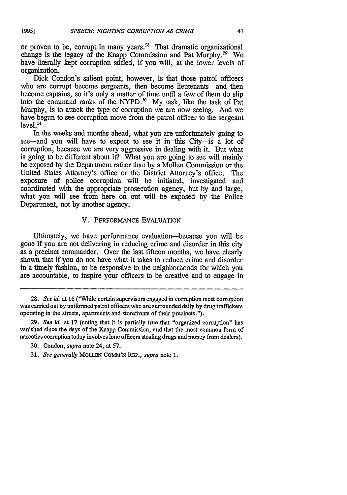or proven to be, corrupt in many years.<sup>28</sup> That dramatic organizational change is the legacy of the Knapp Commission and Pat Murphy.29 We have literally kept corruption stifled, if you will, at the lower levels of organization.

Dick Condon's salient point, however, is that those patrol officers who are corrupt become sergeants, then become lieutenants and then become captains, so it's only a matter of time until a few of them do slip into the command ranks of the NYPD.<sup>30</sup> My task, like the task of Pat Murphy, is to attack the type of corruption we are now seeing. And we have begun to see corruption move from the patrol officer to the sergeant  $level.<sup>3</sup>$ 

In the weeks and months ahead, what you are unfortunately going to see—and you will have to expect to see it in this City—is a lot of corruption, because we are very aggressive in dealing with it. But what is going to be different about it? What you are going to see will mainly be exposed by the Department rather than by a Mollen Commission or the United States Attorney's office or the District Attorney's office. The exposure of police corruption will be initiated, investigated and coordinated with the appropriate prosecution agency, but by and large, what you will see from here on out will be exposed by the Police Department, not by another agency.

# V. PERFORMANCE EVALUATION

Ultimately, we have performance evaluation-because you will be gone if you are not delivering in reducing crime and disorder in this city as a precinct commander. Over the last fifteen months, we have clearly shown that if you do not have what it takes to reduce crime and disorder in a timely fashion, to be responsive to the neighborhoods for which you are accountable, to inspire your officers to be creative and to engage in

*<sup>28.</sup> See id.* at **16** ("While certain supervisors engaged in corruption most corruption was carried out by uniformed patrol officers who are surrounded daily by drug traffickers operating in the streets, apartments and storefronts of their precincts.").

**<sup>29.</sup>** *See id.* at 17 (noting that it is partially true that "organized corruption" has vanished since the days of the Knapp Commission, and that the most common form of narcotics corruption today involves lone officers stealing drugs and money from dealers).

**<sup>30.</sup>** Condon, *supra* note 24, at 57.

**<sup>31.</sup>** *See generally* **MOLLEN** COMM'N REP., *supra* note **1.**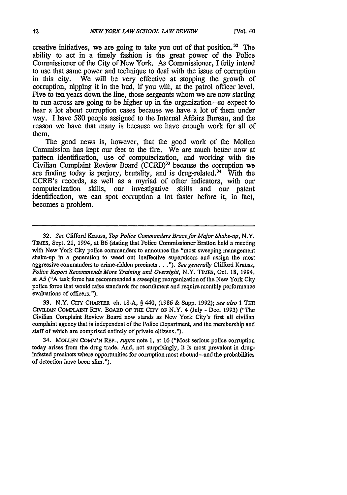creative initiatives, we are going to take you out of that position.<sup>32</sup> The ability to act in a timely fashion is the great power of the Police Commissioner of the City of New York. As Commissioner, I fully intend to use that same power and technique to deal with the issue of corruption<br>in this city. We will be very effective at stopping the growth of We will be very effective at stopping the growth of corruption, nipping it in the bud, if you will, at the patrol officer level. Five to ten years down the line, those sergeants whom we are now starting to run across are going to be higher up in the organization-so expect to hear a lot about corruption cases because we have a lot of them under way. I have 580 people assigned to the Internal Affairs Bureau, and the reason we have that many is because we have enough work for all of them.

The good news is, however, that the good work of the Mollen Commission has kept our feet to the fire. We are much better now at pattern identification, use of computerization, and working with the Civilian Complaint Review Board (CCRB)<sup>33</sup> because the corruption we are finding today is perjury, brutality, and is drug-related.<sup>34</sup> With the CCRB's records, as well as a myriad of other indicators, with our computerization skills, our investigative skills and our patent identification, we can spot corruption a lot faster before it, in fact, becomes a problem.

33. N.Y. Crry CHARTFR ch. 18-A, § 440, (1986 **&** Supp. 1992); *see also 1* THE CrvirAN **CoMPLANr** REv. BOARD OF **THE** CriY **OF** N.Y. 4 (July - Dec. 1993) ("The Civilian Complaint Review Board now stands as New York City's first all civilian complaint agency that is independent of the Police Department, and the membership and staff of which are comprised entirely of private citizens.").

34. MOLLEN **COMM'N** *REP.,* supra note **1,** at 16 ("Most serious police corruption today arises from the drug trade. And, not surprisingly, it is most prevalent in druginfested precincts where opportunities for corruption most abound-and the probabilities of detection have been slim.").

**<sup>32.</sup>** *See* Clifford Krauss, *Top Police Commanders Brace for Major Shake-up,* N.Y. TIMES, Sept. 21, 1994, at B6 (stating that Police Commissioner Bratton held a meeting with New York City police commanders to announce the "most sweeping management shake-up in a generation to weed out ineffective supervisors and assign the most aggressive commanders to crime-ridden precincts. **.** ."). *See generally* Clifford Krauss, *Police Report Recommends More* Training and *Oversight,* N.Y. **TIMES,** Oct. 18, 1994, at A5 ("A task force has recommended a sweeping reorganization of the New York City police force that would raise standards for recruitment and require monthly performance evaluations of officers.").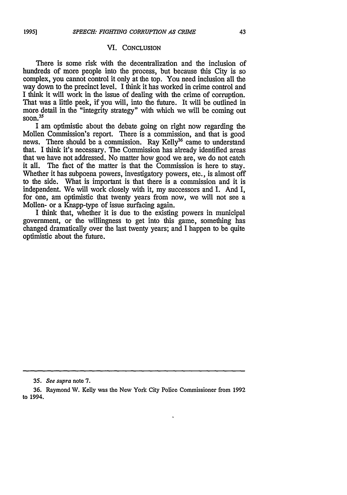#### VI. **CONCLUSION**

There is some risk with the decentralization and the inclusion of hundreds of more people into the process, but because this City is so complex, you cannot control it only at the top. You need inclusion all the way down to the precinct level. I think it has worked in crime control and I think it will work in the issue of dealing with the crime of corruption. That was a little peek, if you will, into the future. It will be outlined in more detail in the "integrity strategy" with which we will be coming out  $\frac{1}{500n}$ .  $\frac{35}{500n}$ 

I am optimistic about the debate going on right now regarding the Mollen Commission's report. There is a commission, and that is good news. There should be a commission. Ray Kelly<sup>36</sup> came to understand that. I think it's necessary. The Commission has already identified areas that we have not addressed. No matter how good we are, we do not catch it all. The fact of the matter is that the Commission is here to stay. The fact of the matter is that the Commission is here to stay. Whether it has subpoena powers, investigatory powers, etc., is almost off to the side. What is important is that there is a commission and it is independent. We will work closely with it, my successors and I. And I, for one, am optimistic that twenty years from now, we will not see a Mollen- or a Knapp-type of issue surfacing again.

I think that, whether it is due to the existing powers in municipal government, or the willingness to get into this game, something has changed dramatically over the last twenty years; and I happen to be quite optimistic about the future.

*<sup>35.</sup> See supra* note **7.**

**<sup>36.</sup>** Raymond W. Kelly was the New York City Police Commissioner from **1992** to 1994.